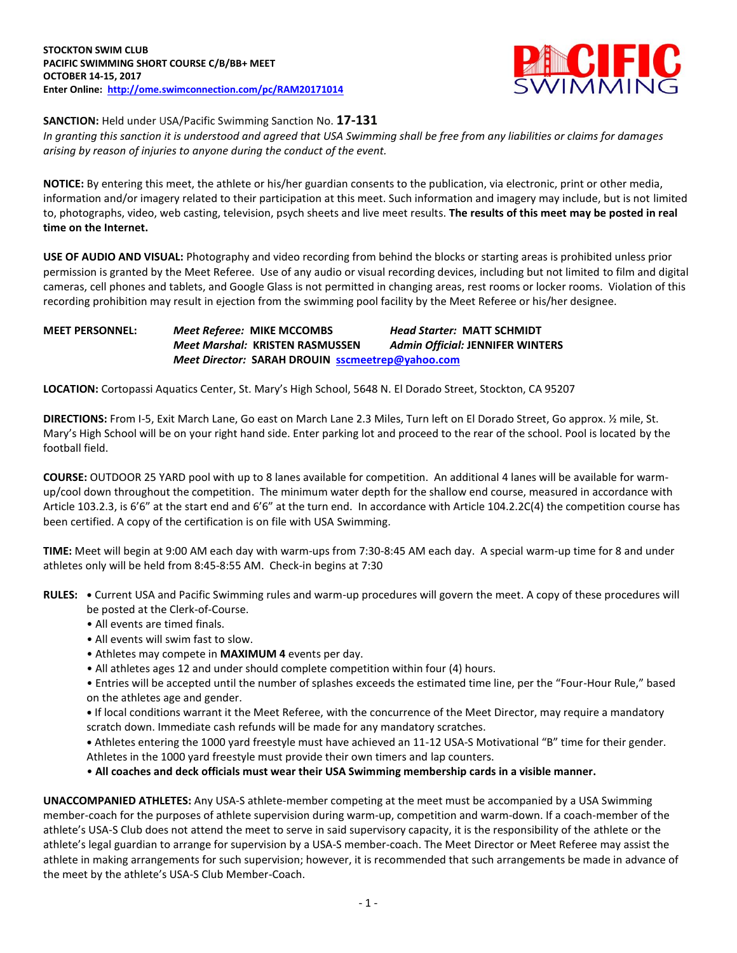

**SANCTION:** Held under USA/Pacific Swimming Sanction No. **17-131**

*In granting this sanction it is understood and agreed that USA Swimming shall be free from any liabilities or claims for damages arising by reason of injuries to anyone during the conduct of the event.*

**NOTICE:** By entering this meet, the athlete or his/her guardian consents to the publication, via electronic, print or other media, information and/or imagery related to their participation at this meet. Such information and imagery may include, but is not limited to, photographs, video, web casting, television, psych sheets and live meet results. **The results of this meet may be posted in real time on the Internet.**

**USE OF AUDIO AND VISUAL:** Photography and video recording from behind the blocks or starting areas is prohibited unless prior permission is granted by the Meet Referee. Use of any audio or visual recording devices, including but not limited to film and digital cameras, cell phones and tablets, and Google Glass is not permitted in changing areas, rest rooms or locker rooms. Violation of this recording prohibition may result in ejection from the swimming pool facility by the Meet Referee or his/her designee.

## **MEET PERSONNEL:** *Meet Referee:* **MIKE MCCOMBS** *Head Starter:* **MATT SCHMIDT** *Meet Marshal:* **KRISTEN RASMUSSEN** *Admin Official:* **JENNIFER WINTERS** *Meet Director:* **SARAH DROUIN [sscmeetrep@yahoo.com](mailto:sscmeetrep@yahoo.com)**

**LOCATION:** Cortopassi Aquatics Center, St. Mary's High School, 5648 N. El Dorado Street, Stockton, CA 95207

**DIRECTIONS:** From I-5, Exit March Lane, Go east on March Lane 2.3 Miles, Turn left on El Dorado Street, Go approx. ½ mile, St. Mary's High School will be on your right hand side. Enter parking lot and proceed to the rear of the school. Pool is located by the football field.

**COURSE:** OUTDOOR 25 YARD pool with up to 8 lanes available for competition. An additional 4 lanes will be available for warmup/cool down throughout the competition. The minimum water depth for the shallow end course, measured in accordance with Article 103.2.3, is 6'6" at the start end and 6'6" at the turn end. In accordance with Article 104.2.2C(4) the competition course has been certified. A copy of the certification is on file with USA Swimming.

**TIME:** Meet will begin at 9:00 AM each day with warm-ups from 7:30-8:45 AM each day. A special warm-up time for 8 and under athletes only will be held from 8:45-8:55 AM. Check-in begins at 7:30

- **RULES: •** Current USA and Pacific Swimming rules and warm-up procedures will govern the meet. A copy of these procedures will be posted at the Clerk-of-Course.
	- All events are timed finals.
	- All events will swim fast to slow.
	- Athletes may compete in **MAXIMUM 4** events per day.
	- All athletes ages 12 and under should complete competition within four (4) hours.

• Entries will be accepted until the number of splashes exceeds the estimated time line, per the "Four-Hour Rule," based on the athletes age and gender.

**•** If local conditions warrant it the Meet Referee, with the concurrence of the Meet Director, may require a mandatory scratch down. Immediate cash refunds will be made for any mandatory scratches.

**•** Athletes entering the 1000 yard freestyle must have achieved an 11-12 USA-S Motivational "B" time for their gender. Athletes in the 1000 yard freestyle must provide their own timers and lap counters.

• **All coaches and deck officials must wear their USA Swimming membership cards in a visible manner.** 

**UNACCOMPANIED ATHLETES:** Any USA-S athlete-member competing at the meet must be accompanied by a USA Swimming member-coach for the purposes of athlete supervision during warm-up, competition and warm-down. If a coach-member of the athlete's USA-S Club does not attend the meet to serve in said supervisory capacity, it is the responsibility of the athlete or the athlete's legal guardian to arrange for supervision by a USA-S member-coach. The Meet Director or Meet Referee may assist the athlete in making arrangements for such supervision; however, it is recommended that such arrangements be made in advance of the meet by the athlete's USA-S Club Member-Coach.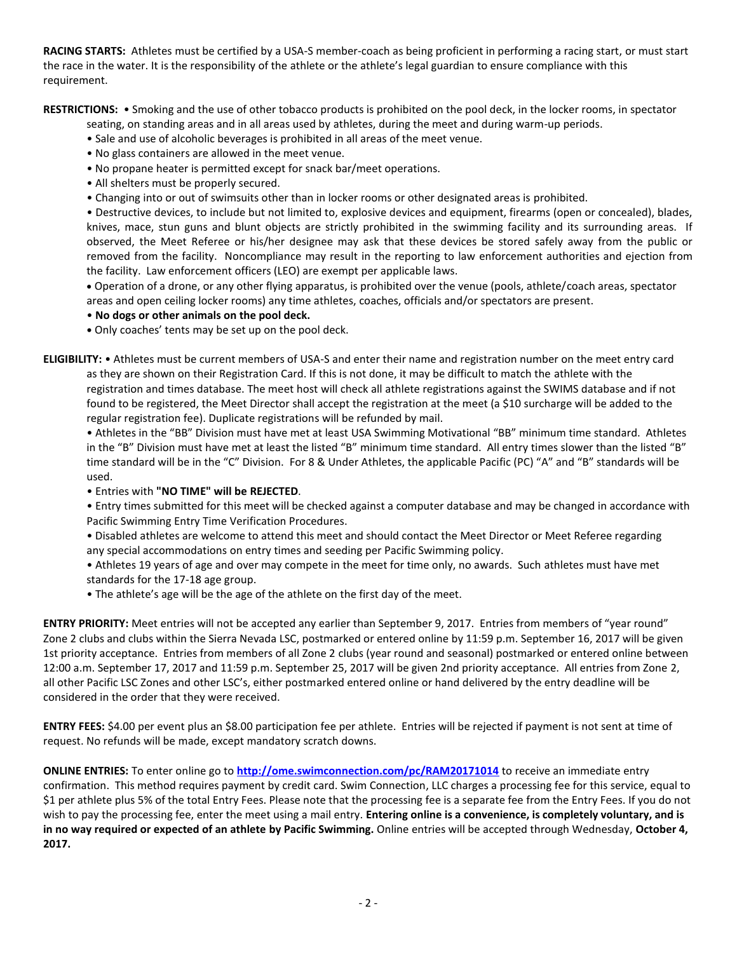**RACING STARTS:** Athletes must be certified by a USA-S member-coach as being proficient in performing a racing start, or must start the race in the water. It is the responsibility of the athlete or the athlete's legal guardian to ensure compliance with this requirement.

**RESTRICTIONS:** • Smoking and the use of other tobacco products is prohibited on the pool deck, in the locker rooms, in spectator

seating, on standing areas and in all areas used by athletes, during the meet and during warm-up periods.

- Sale and use of alcoholic beverages is prohibited in all areas of the meet venue.
- No glass containers are allowed in the meet venue.
- No propane heater is permitted except for snack bar/meet operations.
- All shelters must be properly secured.
- Changing into or out of swimsuits other than in locker rooms or other designated areas is prohibited.

• Destructive devices, to include but not limited to, explosive devices and equipment, firearms (open or concealed), blades, knives, mace, stun guns and blunt objects are strictly prohibited in the swimming facility and its surrounding areas. If observed, the Meet Referee or his/her designee may ask that these devices be stored safely away from the public or removed from the facility. Noncompliance may result in the reporting to law enforcement authorities and ejection from the facility. Law enforcement officers (LEO) are exempt per applicable laws.

 Operation of a drone, or any other flying apparatus, is prohibited over the venue (pools, athlete/coach areas, spectator areas and open ceiling locker rooms) any time athletes, coaches, officials and/or spectators are present.

#### • **No dogs or other animals on the pool deck.**

**•** Only coaches' tents may be set up on the pool deck.

**ELIGIBILITY:** • Athletes must be current members of USA-S and enter their name and registration number on the meet entry card as they are shown on their Registration Card. If this is not done, it may be difficult to match the athlete with the registration and times database. The meet host will check all athlete registrations against the SWIMS database and if not found to be registered, the Meet Director shall accept the registration at the meet (a \$10 surcharge will be added to the regular registration fee). Duplicate registrations will be refunded by mail.

• Athletes in the "BB" Division must have met at least USA Swimming Motivational "BB" minimum time standard. Athletes in the "B" Division must have met at least the listed "B" minimum time standard. All entry times slower than the listed "B" time standard will be in the "C" Division. For 8 & Under Athletes, the applicable Pacific (PC) "A" and "B" standards will be used.

- Entries with **"NO TIME" will be REJECTED**.
- Entry times submitted for this meet will be checked against a computer database and may be changed in accordance with Pacific Swimming Entry Time Verification Procedures.
- Disabled athletes are welcome to attend this meet and should contact the Meet Director or Meet Referee regarding any special accommodations on entry times and seeding per Pacific Swimming policy.
- Athletes 19 years of age and over may compete in the meet for time only, no awards. Such athletes must have met standards for the 17-18 age group.
- The athlete's age will be the age of the athlete on the first day of the meet.

**ENTRY PRIORITY:** Meet entries will not be accepted any earlier than September 9, 2017. Entries from members of "year round" Zone 2 clubs and clubs within the Sierra Nevada LSC, postmarked or entered online by 11:59 p.m. September 16, 2017 will be given 1st priority acceptance. Entries from members of all Zone 2 clubs (year round and seasonal) postmarked or entered online between 12:00 a.m. September 17, 2017 and 11:59 p.m. September 25, 2017 will be given 2nd priority acceptance. All entries from Zone 2, all other Pacific LSC Zones and other LSC's, either postmarked entered online or hand delivered by the entry deadline will be considered in the order that they were received.

**ENTRY FEES:** \$4.00 per event plus an \$8.00 participation fee per athlete. Entries will be rejected if payment is not sent at time of request. No refunds will be made, except mandatory scratch downs.

**ONLINE ENTRIES:** To enter online go to **<http://ome.swimconnection.com/pc/RAM20171014>** to receive an immediate entry confirmation. This method requires payment by credit card. Swim Connection, LLC charges a processing fee for this service, equal to \$1 per athlete plus 5% of the total Entry Fees. Please note that the processing fee is a separate fee from the Entry Fees. If you do not wish to pay the processing fee, enter the meet using a mail entry. **Entering online is a convenience, is completely voluntary, and is in no way required or expected of an athlete by Pacific Swimming.** Online entries will be accepted through Wednesday, **October 4, 2017.**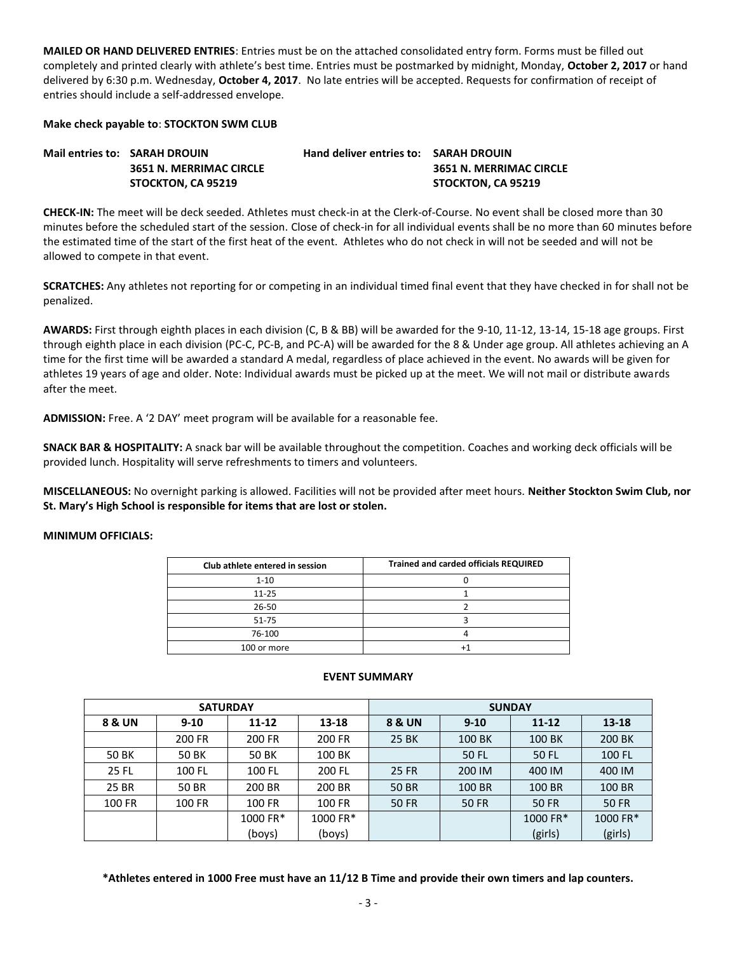**MAILED OR HAND DELIVERED ENTRIES**: Entries must be on the attached consolidated entry form. Forms must be filled out completely and printed clearly with athlete's best time. Entries must be postmarked by midnight, Monday, **October 2, 2017** or hand delivered by 6:30 p.m. Wednesday, **October 4, 2017**. No late entries will be accepted. Requests for confirmation of receipt of entries should include a self-addressed envelope.

#### **Make check payable to**: **STOCKTON SWM CLUB**

| <b>Mail entries to: SARAH DROUIN</b> | <b>Hand deliver entries to: SARAH DROUIN</b> |                           |
|--------------------------------------|----------------------------------------------|---------------------------|
| <b>3651 N. MERRIMAC CIRCLE</b>       |                                              | 3651 N. MERRIMAC CIRCLE   |
| STOCKTON. CA 95219                   |                                              | <b>STOCKTON. CA 95219</b> |

**CHECK-IN:** The meet will be deck seeded. Athletes must check-in at the Clerk-of-Course. No event shall be closed more than 30 minutes before the scheduled start of the session. Close of check-in for all individual events shall be no more than 60 minutes before the estimated time of the start of the first heat of the event. Athletes who do not check in will not be seeded and will not be allowed to compete in that event.

**SCRATCHES:** Any athletes not reporting for or competing in an individual timed final event that they have checked in for shall not be penalized.

**AWARDS:** First through eighth places in each division (C, B & BB) will be awarded for the 9-10, 11-12, 13-14, 15-18 age groups. First through eighth place in each division (PC-C, PC-B, and PC-A) will be awarded for the 8 & Under age group. All athletes achieving an A time for the first time will be awarded a standard A medal, regardless of place achieved in the event. No awards will be given for athletes 19 years of age and older. Note: Individual awards must be picked up at the meet. We will not mail or distribute awards after the meet.

**ADMISSION:** Free. A '2 DAY' meet program will be available for a reasonable fee.

**SNACK BAR & HOSPITALITY:** A snack bar will be available throughout the competition. Coaches and working deck officials will be provided lunch. Hospitality will serve refreshments to timers and volunteers.

**MISCELLANEOUS:** No overnight parking is allowed. Facilities will not be provided after meet hours. **Neither Stockton Swim Club, nor St. Mary's High School is responsible for items that are lost or stolen.** 

### **MINIMUM OFFICIALS:**

| Club athlete entered in session | <b>Trained and carded officials REQUIRED</b> |
|---------------------------------|----------------------------------------------|
| $1 - 10$                        |                                              |
| $11 - 25$                       |                                              |
| $26 - 50$                       |                                              |
| 51-75                           |                                              |
| 76-100                          |                                              |
| 100 or more                     |                                              |

|                   | <b>SATURDAY</b>       |          |          | <b>SUNDAY</b> |          |              |              |  |  |
|-------------------|-----------------------|----------|----------|---------------|----------|--------------|--------------|--|--|
| <b>8 &amp; UN</b> | $11 - 12$<br>$9 - 10$ |          | 13-18    | 8 & UN        | $9 - 10$ | $11 - 12$    | $13 - 18$    |  |  |
|                   | 200 FR                | 200 FR   | 200 FR   | 25 BK         | 100 BK   | 100 BK       | 200 BK       |  |  |
| 50 BK             | 50 BK                 | 50 BK    | 100 BK   |               | 50 FL    | 50 FL        | 100 FL       |  |  |
| 25 FL             | 100 FL                | 100 FL   | 200 FL   | 25 FR         | 200 IM   | 400 IM       | 400 IM       |  |  |
| 25 BR             | 50 BR                 | 200 BR   | 200 BR   | 50 BR         | 100 BR   | 100 BR       | 100 BR       |  |  |
| 100 FR            | <b>100 FR</b>         | 100 FR   | 100 FR   | <b>50 FR</b>  | 50 FR    | <b>50 FR</b> | <b>50 FR</b> |  |  |
|                   |                       | 1000 FR* | 1000 FR* |               |          | 1000 FR*     | 1000 FR*     |  |  |
|                   |                       | (boys)   | (boys)   |               |          | (girls)      | (girls)      |  |  |

#### **EVENT SUMMARY**

**\*Athletes entered in 1000 Free must have an 11/12 B Time and provide their own timers and lap counters.**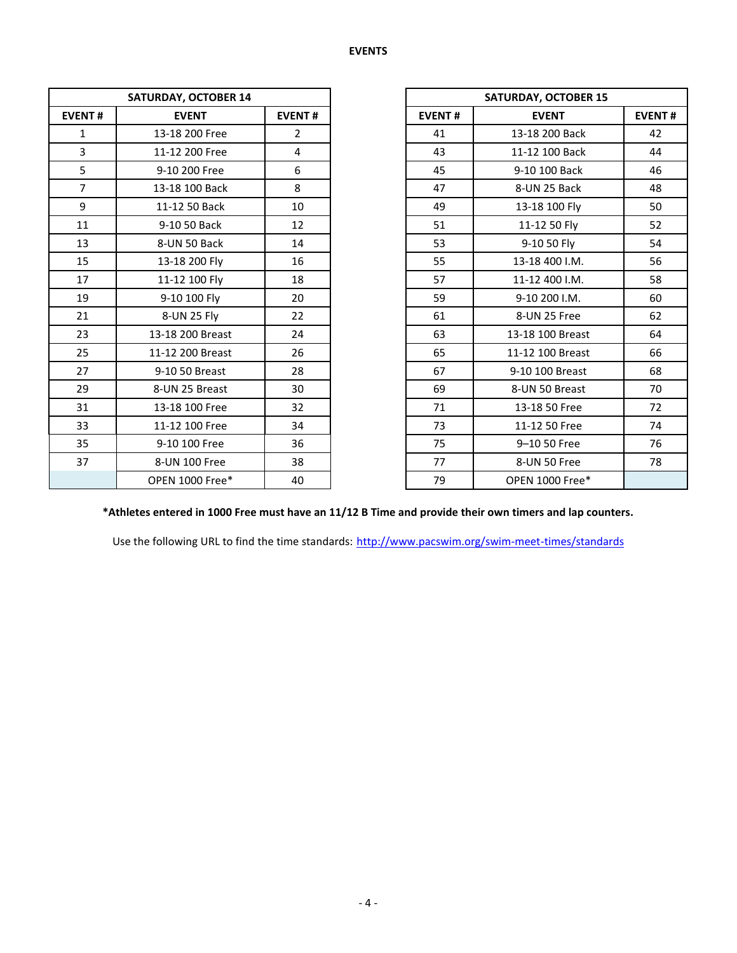|                | <b>SATURDAY, OCTOBER 14</b> |                |               | <b>SATURDAY, OCTOBER 15</b> |  |  |
|----------------|-----------------------------|----------------|---------------|-----------------------------|--|--|
| <b>EVENT#</b>  | <b>EVENT</b>                | <b>EVENT#</b>  | <b>EVENT#</b> | <b>EVENT</b>                |  |  |
| $\mathbf{1}$   | 13-18 200 Free              | $\overline{2}$ | 41            | 13-18 200 Back              |  |  |
| 3              | 11-12 200 Free              | 4              | 43            | 11-12 100 Back              |  |  |
| 5              | 9-10 200 Free               | 6              | 45            | 9-10 100 Back               |  |  |
| $\overline{7}$ | 13-18 100 Back              | 8              | 47            | 8-UN 25 Back                |  |  |
| 9              | 11-12 50 Back               | 10             | 49            | 13-18 100 Fly               |  |  |
| 11             | 9-10 50 Back                | 12             | 51            | 11-12 50 Fly                |  |  |
| 13             | 8-UN 50 Back                | 14             | 53            | 9-10 50 Fly                 |  |  |
| 15             | 13-18 200 Fly               | 16             | 55            | 13-18 400 I.M.              |  |  |
| 17             | 11-12 100 Fly               | 18             | 57            | 11-12 400 I.M.              |  |  |
| 19             | 9-10 100 Fly                | 20             | 59            | 9-10 200 I.M.               |  |  |
| 21             | 8-UN 25 Fly                 | 22             | 61            | 8-UN 25 Free                |  |  |
| 23             | 13-18 200 Breast            | 24             | 63            | 13-18 100 Breast            |  |  |
| 25             | 11-12 200 Breast            | 26             | 65            | 11-12 100 Breast            |  |  |
| 27             | 9-10 50 Breast              | 28             | 67            | 9-10 100 Breast             |  |  |
| 29             | 8-UN 25 Breast              | 30             | 69            | 8-UN 50 Breast              |  |  |
| 31             | 13-18 100 Free              | 32             | 71            | 13-18 50 Free               |  |  |
| 33             | 11-12 100 Free              | 34             | 73            | 11-12 50 Free               |  |  |
| 35             | 9-10 100 Free               | 36             | 75            | 9-10 50 Free                |  |  |
| 37             | 8-UN 100 Free               | 38             | 77            | 8-UN 50 Free                |  |  |
|                | <b>OPEN 1000 Free*</b>      | 40             | 79            | <b>OPEN 1000 Free*</b>      |  |  |

| <b>SATURDAY, OCTOBER 14</b> |                  |                |
|-----------------------------|------------------|----------------|
| <b>EVENT#</b>               | <b>EVENT</b>     | <b>EVENT#</b>  |
| $\mathbf{1}$                | 13-18 200 Free   | $\overline{2}$ |
| 3                           | 11-12 200 Free   | 4              |
| 5                           | 9-10 200 Free    | 6              |
| $\overline{7}$              | 13-18 100 Back   | 8              |
| 9                           | 11-12 50 Back    | 10             |
| 11                          | 9-10 50 Back     | 12             |
| 13                          | 8-UN 50 Back     | 14             |
| 15                          | 13-18 200 Fly    | 16             |
| 17                          | 11-12 100 Fly    | 18             |
| 19                          | 9-10 100 Fly     | 20             |
| 21                          | 8-UN 25 Fly      | 22             |
| 23                          | 13-18 200 Breast | 24             |
| 25                          | 11-12 200 Breast | 26             |
| 27                          | 9-10 50 Breast   | 28             |
| 29                          | 8-UN 25 Breast   | 30             |
| 31                          | 13-18 100 Free   | 32             |
| 33                          | 11-12 100 Free   | 34             |
| 35                          | 9-10 100 Free    | 36             |
| 37                          | 8-UN 100 Free    | 38             |
|                             | OPEN 1000 Free*  | 40             |

# **\*Athletes entered in 1000 Free must have an 11/12 B Time and provide their own timers and lap counters.**

Use the following URL to find the time standards: <http://www.pacswim.org/swim-meet-times/standards>